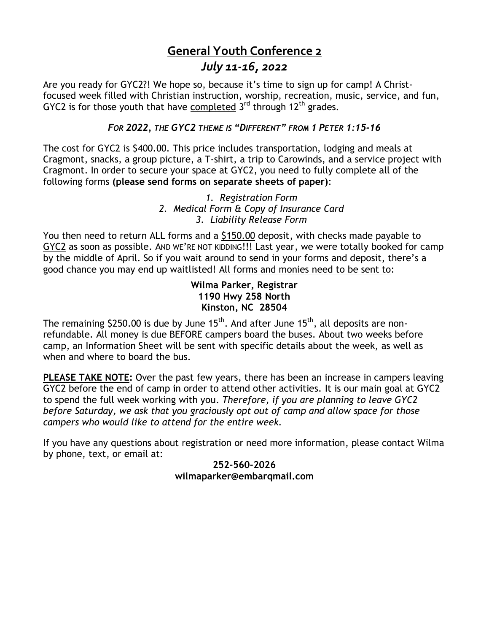## **General Youth Conference 2** *July 11-16, 2022*

Are you ready for GYC2?! We hope so, because it's time to sign up for camp! A Christfocused week filled with Christian instruction, worship, recreation, music, service, and fun, GYC2 is for those youth that have completed  $3<sup>rd</sup>$  through 12<sup>th</sup> grades.

## *FOR 2022, THE GYC2 THEME IS "DIFFERENT" FROM 1 PETER 1:15-16*

The cost for GYC2 is \$400.00. This price includes transportation, lodging and meals at Cragmont, snacks, a group picture, a T-shirt, a trip to Carowinds, and a service project with Cragmont. In order to secure your space at GYC2, you need to fully complete all of the following forms **(please send forms on separate sheets of paper)**:

## *1. Registration Form 2. Medical Form & Copy of Insurance Card 3. Liability Release Form*

You then need to return ALL forms and a \$150.00 deposit, with checks made payable to GYC2 as soon as possible. AND WE'RE NOT KIDDING!!! Last year, we were totally booked for camp by the middle of April. So if you wait around to send in your forms and deposit, there's a good chance you may end up waitlisted! All forms and monies need to be sent to:

## **Wilma Parker, Registrar 1190 Hwy 258 North Kinston, NC 28504**

The remaining  $$250.00$  is due by June  $15<sup>th</sup>$ . And after June  $15<sup>th</sup>$ , all deposits are nonrefundable. All money is due BEFORE campers board the buses. About two weeks before camp, an Information Sheet will be sent with specific details about the week, as well as when and where to board the bus.

**PLEASE TAKE NOTE:** Over the past few years, there has been an increase in campers leaving GYC2 before the end of camp in order to attend other activities. It is our main goal at GYC2 to spend the full week working with you. *Therefore, if you are planning to leave GYC2 before Saturday, we ask that you graciously opt out of camp and allow space for those campers who would like to attend for the entire week.*

If you have any questions about registration or need more information, please contact Wilma by phone, text, or email at:

### **252-560-2026 wilmaparker@embarqmail.com**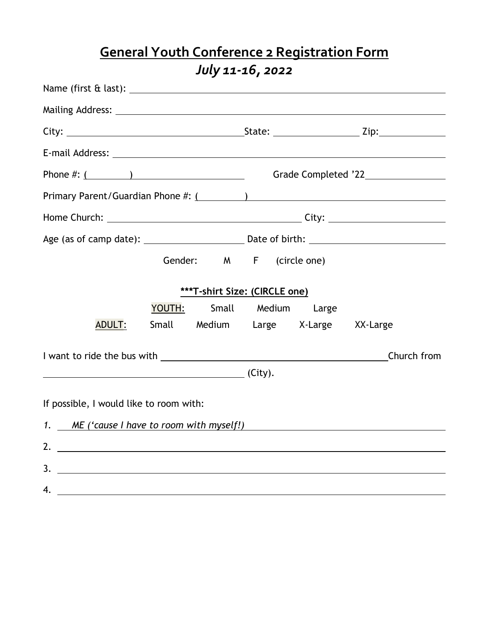# **General Youth Conference 2 Registration Form** *July 11-16, 2022*

| Phone $\#:\underline{(\qquad)}$                                                                                                                                                                                                                                                                                        | Grade Completed '22________________ |  |  |  |  |
|------------------------------------------------------------------------------------------------------------------------------------------------------------------------------------------------------------------------------------------------------------------------------------------------------------------------|-------------------------------------|--|--|--|--|
|                                                                                                                                                                                                                                                                                                                        |                                     |  |  |  |  |
|                                                                                                                                                                                                                                                                                                                        |                                     |  |  |  |  |
|                                                                                                                                                                                                                                                                                                                        |                                     |  |  |  |  |
|                                                                                                                                                                                                                                                                                                                        | Gender: M F (circle one)            |  |  |  |  |
|                                                                                                                                                                                                                                                                                                                        |                                     |  |  |  |  |
| <b>***T-shirt Size: (CIRCLE one)</b>                                                                                                                                                                                                                                                                                   |                                     |  |  |  |  |
|                                                                                                                                                                                                                                                                                                                        | YOUTH: Small Medium Large           |  |  |  |  |
| <b>ADULT:</b>                                                                                                                                                                                                                                                                                                          | Small Medium Large X-Large XX-Large |  |  |  |  |
|                                                                                                                                                                                                                                                                                                                        | Church from                         |  |  |  |  |
| <u>(City).</u>                                                                                                                                                                                                                                                                                                         |                                     |  |  |  |  |
|                                                                                                                                                                                                                                                                                                                        |                                     |  |  |  |  |
| If possible, I would like to room with:                                                                                                                                                                                                                                                                                |                                     |  |  |  |  |
| 1. ME ('cause I have to room with myself!)                                                                                                                                                                                                                                                                             |                                     |  |  |  |  |
| 2. $\frac{1}{2}$ $\frac{1}{2}$ $\frac{1}{2}$ $\frac{1}{2}$ $\frac{1}{2}$ $\frac{1}{2}$ $\frac{1}{2}$ $\frac{1}{2}$ $\frac{1}{2}$ $\frac{1}{2}$ $\frac{1}{2}$ $\frac{1}{2}$ $\frac{1}{2}$ $\frac{1}{2}$ $\frac{1}{2}$ $\frac{1}{2}$ $\frac{1}{2}$ $\frac{1}{2}$ $\frac{1}{2}$ $\frac{1}{2}$ $\frac{1}{2}$ $\frac{1}{2}$ |                                     |  |  |  |  |
| 3.                                                                                                                                                                                                                                                                                                                     |                                     |  |  |  |  |
| 4.                                                                                                                                                                                                                                                                                                                     |                                     |  |  |  |  |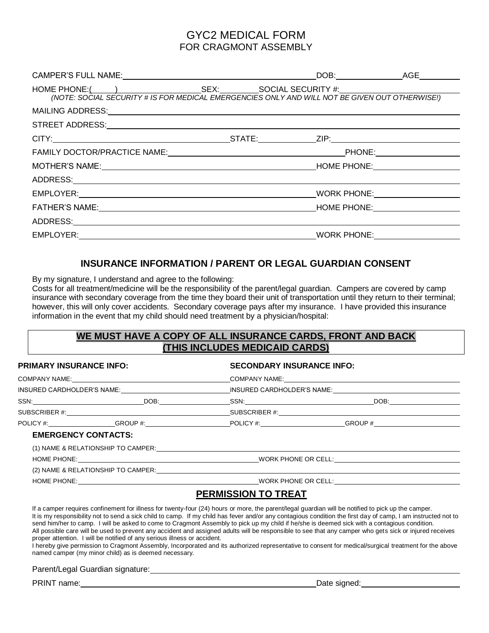## GYC2 MEDICAL FORM FOR CRAGMONT ASSEMBLY

| CAMPER'S FULL NAME: VALUE AND A CAMPER'S FULL NAME: |  |  |
|-----------------------------------------------------|--|--|
|                                                     |  |  |
|                                                     |  |  |
|                                                     |  |  |
|                                                     |  |  |
|                                                     |  |  |
|                                                     |  |  |
|                                                     |  |  |
|                                                     |  |  |
|                                                     |  |  |
|                                                     |  |  |
|                                                     |  |  |
|                                                     |  |  |

#### **INSURANCE INFORMATION / PARENT OR LEGAL GUARDIAN CONSENT**

By my signature, I understand and agree to the following:

Costs for all treatment/medicine will be the responsibility of the parent/legal guardian. Campers are covered by camp insurance with secondary coverage from the time they board their unit of transportation until they return to their terminal; however, this will only cover accidents. Secondary coverage pays after my insurance. I have provided this insurance information in the event that my child should need treatment by a physician/hospital:

### **WE MUST HAVE A COPY OF ALL INSURANCE CARDS, FRONT AND BACK (THIS INCLUDES MEDICAID CARDS)**

| PRIMARY INSURANCE INFO:    |  | <b>SECONDARY INSURANCE INFO:</b> |                                                                                                                                                    |  |
|----------------------------|--|----------------------------------|----------------------------------------------------------------------------------------------------------------------------------------------------|--|
|                            |  |                                  |                                                                                                                                                    |  |
|                            |  |                                  | INSURED CARDHOLDER'S NAME:_______________________________INSURED CARDHOLDER'S NAME:___________________________                                     |  |
|                            |  |                                  |                                                                                                                                                    |  |
|                            |  |                                  |                                                                                                                                                    |  |
|                            |  |                                  | _________________________________GROUP #:_________________________POLICY #:___________________________________                                     |  |
| <b>EMERGENCY CONTACTS:</b> |  |                                  |                                                                                                                                                    |  |
|                            |  |                                  |                                                                                                                                                    |  |
|                            |  |                                  |                                                                                                                                                    |  |
|                            |  |                                  |                                                                                                                                                    |  |
|                            |  |                                  |                                                                                                                                                    |  |
|                            |  | <b>PERMISSION TO TREAT</b>       |                                                                                                                                                    |  |
|                            |  |                                  | If a camper requires confinement for illness for twenty-four (24) hours or more, the parent/legal guardian will be notified to pick up the camper. |  |

It is my responsibility not to send a sick child to camp. If my child has fever and/or any contagious condition the first day of camp, I am instructed not to send him/her to camp. I will be asked to come to Cragmont Assembly to pick up my child if he/she is deemed sick with a contagious condition. All possible care will be used to prevent any accident and assigned adults will be responsible to see that any camper who gets sick or injured receives proper attention. I will be notified of any serious illness or accident.

I hereby give permission to Cragmont Assembly, Incorporated and its authorized representative to consent for medical/surgical treatment for the above named camper (my minor child) as is deemed necessary.

Parent/Legal Guardian signature:

PRINT name: <u>Date signed:</u> Date signed: Date signed: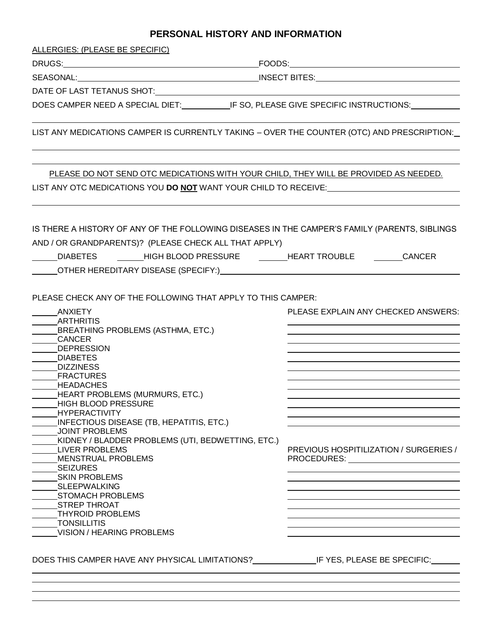### **PERSONAL HISTORY AND INFORMATION**

ALLERGIES: (PLEASE BE SPECIFIC)

DRUGS: FOODS:

SEASONAL: INSECT BITES:

DATE OF LAST TETANUS SHOT:

DOES CAMPER NEED A SPECIAL DIET: IF SO, PLEASE GIVE SPECIFIC INSTRUCTIONS:

LIST ANY MEDICATIONS CAMPER IS CURRENTLY TAKING – OVER THE COUNTER (OTC) AND PRESCRIPTION:

PLEASE DO NOT SEND OTC MEDICATIONS WITH YOUR CHILD, THEY WILL BE PROVIDED AS NEEDED. LIST ANY OTC MEDICATIONS YOU **DO NOT** WANT YOUR CHILD TO RECEIVE:

IS THERE A HISTORY OF ANY OF THE FOLLOWING DISEASES IN THE CAMPER'S FAMILY (PARENTS, SIBLINGS AND / OR GRANDPARENTS)? (PLEASE CHECK ALL THAT APPLY) \_\_\_\_\_DIABETES \_\_\_\_\_\_\_HIGH BLOOD PRESSURE \_\_\_\_\_\_HEART TROUBLE \_\_\_\_\_\_\_CANCER

OTHER HEREDITARY DISEASE (SPECIFY:)

PLEASE CHECK ANY OF THE FOLLOWING THAT APPLY TO THIS CAMPER:

| <b>ANXIETY</b>                                                              | PLEASE EXPLAIN ANY CHECKED ANSWERS:                                                                                                                                                                                            |
|-----------------------------------------------------------------------------|--------------------------------------------------------------------------------------------------------------------------------------------------------------------------------------------------------------------------------|
| <b>ARTHRITIS</b>                                                            |                                                                                                                                                                                                                                |
| BREATHING PROBLEMS (ASTHMA, ETC.)                                           |                                                                                                                                                                                                                                |
| <b>CANCER</b>                                                               |                                                                                                                                                                                                                                |
| <b>DEPRESSION</b>                                                           |                                                                                                                                                                                                                                |
| <b>DIABETES</b>                                                             |                                                                                                                                                                                                                                |
| <b>DIZZINESS</b>                                                            |                                                                                                                                                                                                                                |
| <b>FRACTURES</b>                                                            |                                                                                                                                                                                                                                |
| <b>HEADACHES</b>                                                            |                                                                                                                                                                                                                                |
| HEART PROBLEMS (MURMURS, ETC.)                                              |                                                                                                                                                                                                                                |
| <b>HIGH BLOOD PRESSURE</b>                                                  |                                                                                                                                                                                                                                |
| <b>HYPERACTIVITY</b>                                                        |                                                                                                                                                                                                                                |
| INFECTIOUS DISEASE (TB, HEPATITIS, ETC.)                                    |                                                                                                                                                                                                                                |
| <b>JOINT PROBLEMS</b>                                                       |                                                                                                                                                                                                                                |
| KIDNEY / BLADDER PROBLEMS (UTI, BEDWETTING, ETC.)                           |                                                                                                                                                                                                                                |
| LIVER PROBLEMS                                                              | PREVIOUS HOSPITILIZATION / SURGERIES /                                                                                                                                                                                         |
| <b>MENSTRUAL PROBLEMS</b>                                                   | PROCEDURES: The contract of the contract of the contract of the contract of the contract of the contract of the contract of the contract of the contract of the contract of the contract of the contract of the contract of th |
| <b>SEIZURES</b>                                                             |                                                                                                                                                                                                                                |
| <b>SKIN PROBLEMS</b>                                                        |                                                                                                                                                                                                                                |
| SLEEPWALKING                                                                |                                                                                                                                                                                                                                |
| <b>STOMACH PROBLEMS</b>                                                     |                                                                                                                                                                                                                                |
| <b>STREP THROAT</b>                                                         |                                                                                                                                                                                                                                |
| THYROID PROBLEMS                                                            |                                                                                                                                                                                                                                |
| TONSILLITIS                                                                 |                                                                                                                                                                                                                                |
| <b>VISION / HEARING PROBLEMS</b>                                            |                                                                                                                                                                                                                                |
| DOES THIS CAMPER HAVE ANY PHYSICAL LIMITATIONS? IF YES, PLEASE BE SPECIFIC: |                                                                                                                                                                                                                                |
|                                                                             |                                                                                                                                                                                                                                |